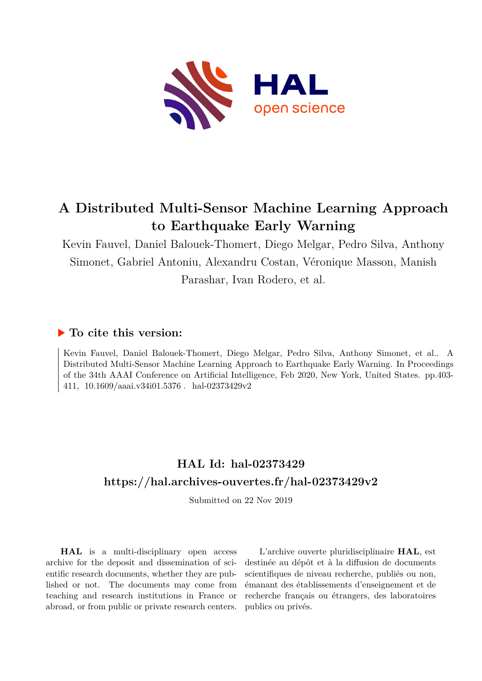

# **A Distributed Multi-Sensor Machine Learning Approach to Earthquake Early Warning**

Kevin Fauvel, Daniel Balouek-Thomert, Diego Melgar, Pedro Silva, Anthony Simonet, Gabriel Antoniu, Alexandru Costan, Véronique Masson, Manish Parashar, Ivan Rodero, et al.

# **To cite this version:**

Kevin Fauvel, Daniel Balouek-Thomert, Diego Melgar, Pedro Silva, Anthony Simonet, et al.. A Distributed Multi-Sensor Machine Learning Approach to Earthquake Early Warning. In Proceedings of the 34th AAAI Conference on Artificial Intelligence, Feb 2020, New York, United States. pp.403- 411, 10.1609/aaai.v34i01.5376. hal-02373429v2

# **HAL Id: hal-02373429 <https://hal.archives-ouvertes.fr/hal-02373429v2>**

Submitted on 22 Nov 2019

**HAL** is a multi-disciplinary open access archive for the deposit and dissemination of scientific research documents, whether they are published or not. The documents may come from teaching and research institutions in France or abroad, or from public or private research centers.

L'archive ouverte pluridisciplinaire **HAL**, est destinée au dépôt et à la diffusion de documents scientifiques de niveau recherche, publiés ou non, émanant des établissements d'enseignement et de recherche français ou étrangers, des laboratoires publics ou privés.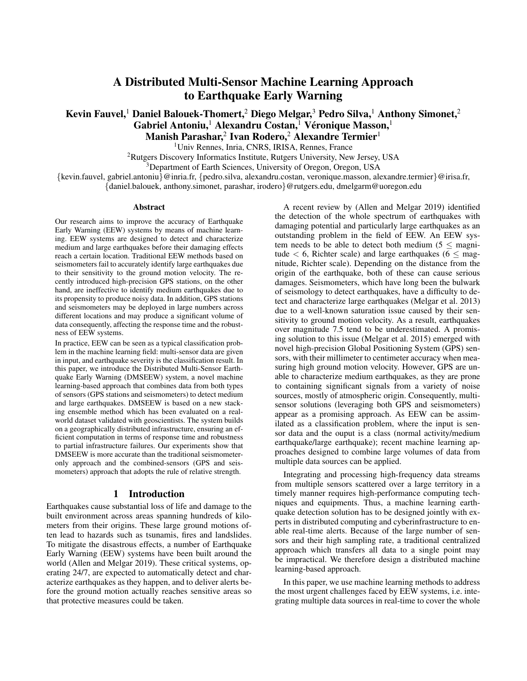# A Distributed Multi-Sensor Machine Learning Approach to Earthquake Early Warning

Kevin Fauvel,<sup>1</sup> Daniel Balouek-Thomert,<sup>2</sup> Diego Melgar,<sup>3</sup> Pedro Silva,<sup>1</sup> Anthony Simonet,<sup>2</sup> Gabriel Antoniu,<sup>1</sup> Alexandru Costan,<sup>1</sup> Véronique Masson,<sup>1</sup> Manish Parashar, $^2$  Ivan Rodero, $^2$  Alexandre Termier $^1$ 

<sup>1</sup>Univ Rennes, Inria, CNRS, IRISA, Rennes, France

<sup>2</sup>Rutgers Discovery Informatics Institute, Rutgers University, New Jersey, USA

<sup>3</sup>Department of Earth Sciences, University of Oregon, Oregon, USA

{kevin.fauvel, gabriel.antoniu}@inria.fr, {pedro.silva, alexandru.costan, veronique.masson, alexandre.termier}@irisa.fr, {daniel.balouek, anthony.simonet, parashar, irodero}@rutgers.edu, dmelgarm@uoregon.edu

#### Abstract

Our research aims to improve the accuracy of Earthquake Early Warning (EEW) systems by means of machine learning. EEW systems are designed to detect and characterize medium and large earthquakes before their damaging effects reach a certain location. Traditional EEW methods based on seismometers fail to accurately identify large earthquakes due to their sensitivity to the ground motion velocity. The recently introduced high-precision GPS stations, on the other hand, are ineffective to identify medium earthquakes due to its propensity to produce noisy data. In addition, GPS stations and seismometers may be deployed in large numbers across different locations and may produce a significant volume of data consequently, affecting the response time and the robustness of EEW systems.

In practice, EEW can be seen as a typical classification problem in the machine learning field: multi-sensor data are given in input, and earthquake severity is the classification result. In this paper, we introduce the Distributed Multi-Sensor Earthquake Early Warning (DMSEEW) system, a novel machine learning-based approach that combines data from both types of sensors (GPS stations and seismometers) to detect medium and large earthquakes. DMSEEW is based on a new stacking ensemble method which has been evaluated on a realworld dataset validated with geoscientists. The system builds on a geographically distributed infrastructure, ensuring an efficient computation in terms of response time and robustness to partial infrastructure failures. Our experiments show that DMSEEW is more accurate than the traditional seismometeronly approach and the combined-sensors (GPS and seismometers) approach that adopts the rule of relative strength.

### 1 Introduction

Earthquakes cause substantial loss of life and damage to the built environment across areas spanning hundreds of kilometers from their origins. These large ground motions often lead to hazards such as tsunamis, fires and landslides. To mitigate the disastrous effects, a number of Earthquake Early Warning (EEW) systems have been built around the world (Allen and Melgar 2019). These critical systems, operating 24/7, are expected to automatically detect and characterize earthquakes as they happen, and to deliver alerts before the ground motion actually reaches sensitive areas so that protective measures could be taken.

A recent review by (Allen and Melgar 2019) identified the detection of the whole spectrum of earthquakes with damaging potential and particularly large earthquakes as an outstanding problem in the field of EEW. An EEW system needs to be able to detect both medium ( $5 \leq$  magnitude  $<$  6, Richter scale) and large earthquakes (6  $\leq$  magnitude, Richter scale). Depending on the distance from the origin of the earthquake, both of these can cause serious damages. Seismometers, which have long been the bulwark of seismology to detect earthquakes, have a difficulty to detect and characterize large earthquakes (Melgar et al. 2013) due to a well-known saturation issue caused by their sensitivity to ground motion velocity. As a result, earthquakes over magnitude 7.5 tend to be underestimated. A promising solution to this issue (Melgar et al. 2015) emerged with novel high-precision Global Positioning System (GPS) sensors, with their millimeter to centimeter accuracy when measuring high ground motion velocity. However, GPS are unable to characterize medium earthquakes, as they are prone to containing significant signals from a variety of noise sources, mostly of atmospheric origin. Consequently, multisensor solutions (leveraging both GPS and seismometers) appear as a promising approach. As EEW can be assimilated as a classification problem, where the input is sensor data and the ouput is a class (normal activity/medium earthquake/large earthquake); recent machine learning approaches designed to combine large volumes of data from multiple data sources can be applied.

Integrating and processing high-frequency data streams from multiple sensors scattered over a large territory in a timely manner requires high-performance computing techniques and equipments. Thus, a machine learning earthquake detection solution has to be designed jointly with experts in distributed computing and cyberinfrastructure to enable real-time alerts. Because of the large number of sensors and their high sampling rate, a traditional centralized approach which transfers all data to a single point may be impractical. We therefore design a distributed machine learning-based approach.

In this paper, we use machine learning methods to address the most urgent challenges faced by EEW systems, i.e. integrating multiple data sources in real-time to cover the whole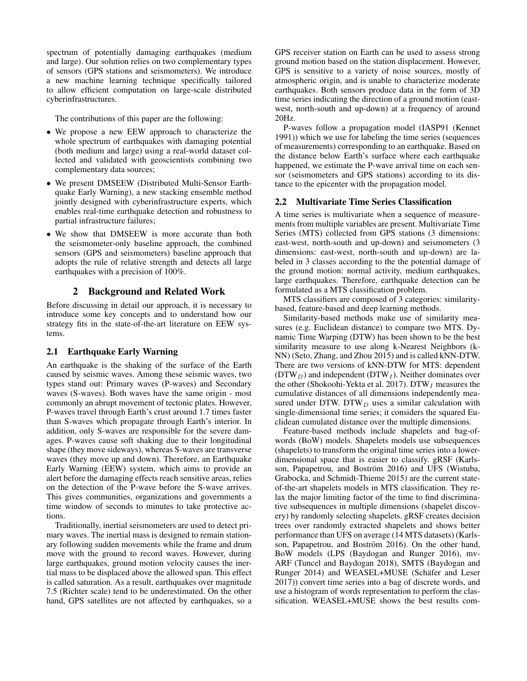spectrum of potentially damaging earthquakes (medium and large). Our solution relies on two complementary types of sensors (GPS stations and seismometers). We introduce a new machine learning technique specifically tailored to allow efficient computation on large-scale distributed cyberinfrastructures.

The contributions of this paper are the following:

- We propose a new EEW approach to characterize the whole spectrum of earthquakes with damaging potential (both medium and large) using a real-world dataset collected and validated with geoscientists combining two complementary data sources;
- We present DMSEEW (Distributed Multi-Sensor Earthquake Early Warning), a new stacking ensemble method jointly designed with cyberinfrastructure experts, which enables real-time earthquake detection and robustness to partial infrastructure failures;
- We show that DMSEEW is more accurate than both the seismometer-only baseline approach, the combined sensors (GPS and seismometers) baseline approach that adopts the rule of relative strength and detects all large earthquakes with a precision of 100%.

#### 2 Background and Related Work

Before discussing in detail our approach, it is necessary to introduce some key concepts and to understand how our strategy fits in the state-of-the-art literature on EEW systems.

#### 2.1 Earthquake Early Warning

An earthquake is the shaking of the surface of the Earth caused by seismic waves. Among these seismic waves, two types stand out: Primary waves (P-waves) and Secondary waves (S-waves). Both waves have the same origin - most commonly an abrupt movement of tectonic plates. However, P-waves travel through Earth's crust around 1.7 times faster than S-waves which propagate through Earth's interior. In addition, only S-waves are responsible for the severe damages. P-waves cause soft shaking due to their longitudinal shape (they move sideways), whereas S-waves are transverse waves (they move up and down). Therefore, an Earthquake Early Warning (EEW) system, which aims to provide an alert before the damaging effects reach sensitive areas, relies on the detection of the P-wave before the S-wave arrives. This gives communities, organizations and governments a time window of seconds to minutes to take protective actions.

Traditionally, inertial seismometers are used to detect primary waves. The inertial mass is designed to remain stationary following sudden movements while the frame and drum move with the ground to record waves. However, during large earthquakes, ground motion velocity causes the inertial mass to be displaced above the allowed span. This effect is called saturation. As a result, earthquakes over magnitude 7.5 (Richter scale) tend to be underestimated. On the other hand, GPS satellites are not affected by earthquakes, so a

GPS receiver station on Earth can be used to assess strong ground motion based on the station displacement. However, GPS is sensitive to a variety of noise sources, mostly of atmospheric origin, and is unable to characterize moderate earthquakes. Both sensors produce data in the form of 3D time series indicating the direction of a ground motion (eastwest, north-south and up-down) at a frequency of around 20Hz.

P-waves follow a propagation model (IASP91 (Kennet 1991)) which we use for labeling the time series (sequences of measurements) corresponding to an earthquake. Based on the distance below Earth's surface where each earthquake happened, we estimate the P-wave arrival time on each sensor (seismometers and GPS stations) according to its distance to the epicenter with the propagation model.

#### 2.2 Multivariate Time Series Classification

A time series is multivariate when a sequence of measurements from multiple variables are present. Multivariate Time Series (MTS) collected from GPS stations (3 dimensions: east-west, north-south and up-down) and seismometers (3 dimensions: east-west, north-south and up-down) are labeled in 3 classes according to the the potential damage of the ground motion: normal activity, medium earthquakes, large earthquakes. Therefore, earthquake detection can be formulated as a MTS classification problem.

MTS classifiers are composed of 3 categories: similaritybased, feature-based and deep learning methods.

Similarity-based methods make use of similarity measures (e.g. Euclidean distance) to compare two MTS. Dynamic Time Warping (DTW) has been shown to be the best similarity measure to use along k-Nearest Neighbors (k-NN) (Seto, Zhang, and Zhou 2015) and is called kNN-DTW. There are two versions of kNN-DTW for MTS: dependent (DTW<sub>D</sub>) and independent (DTW<sub>I</sub>). Neither dominates over the other (Shokoohi-Yekta et al. 2017). DTW<sub>I</sub> measures the cumulative distances of all dimensions independently measured under DTW. DTW $_D$  uses a similar calculation with single-dimensional time series; it considers the squared Euclidean cumulated distance over the multiple dimensions.

Feature-based methods include shapelets and bag-ofwords (BoW) models. Shapelets models use subsequences (shapelets) to transform the original time series into a lowerdimensional space that is easier to classify. gRSF (Karlsson, Papapetrou, and Boström 2016) and UFS (Wistuba, Grabocka, and Schmidt-Thieme 2015) are the current stateof-the-art shapelets models in MTS classification. They relax the major limiting factor of the time to find discriminative subsequences in multiple dimensions (shapelet discovery) by randomly selecting shapelets. gRSF creates decision trees over randomly extracted shapelets and shows better performance than UFS on average (14 MTS datasets) (Karlsson, Papapetrou, and Boström 2016). On the other hand, BoW models (LPS (Baydogan and Runger 2016), mv-ARF (Tuncel and Baydogan 2018), SMTS (Baydogan and Runger 2014) and WEASEL+MUSE (Schäfer and Leser 2017)) convert time series into a bag of discrete words, and use a histogram of words representation to perform the classification. WEASEL+MUSE shows the best results com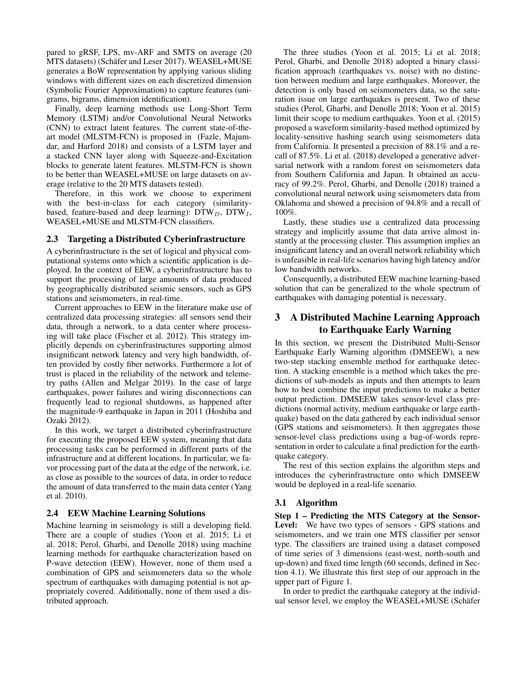pared to gRSF, LPS, mv-ARF and SMTS on average (20 MTS datasets) (Schäfer and Leser 2017). WEASEL+MUSE generates a BoW representation by applying various sliding windows with different sizes on each discretized dimension (Symbolic Fourier Approximation) to capture features (unigrams, bigrams, dimension identification).

Finally, deep learning methods use Long-Short Term Memory (LSTM) and/or Convolutional Neural Networks (CNN) to extract latent features. The current state-of-theart model (MLSTM-FCN) is proposed in (Fazle, Majumdar, and Harford 2018) and consists of a LSTM layer and a stacked CNN layer along with Squeeze-and-Excitation blocks to generate latent features. MLSTM-FCN is shown to be better than WEASEL+MUSE on large datasets on average (relative to the 20 MTS datasets tested).

Therefore, in this work we choose to experiment with the best-in-class for each category (similaritybased, feature-based and deep learning):  $DTW_D$ ,  $DTW_I$ , WEASEL+MUSE and MLSTM-FCN classifiers.

### 2.3 Targeting a Distributed Cyberinfrastructure

A cyberinfrastructure is the set of logical and physical computational systems onto which a scientific application is deployed. In the context of EEW, a cyberinfrastructure has to support the processing of large amounts of data produced by geographically distributed seismic sensors, such as GPS stations and seismometers, in real-time.

Current approaches to EEW in the literature make use of centralized data processing strategies: all sensors send their data, through a network, to a data center where processing will take place (Fischer et al. 2012). This strategy implicitly depends on cyberinfrastructures supporting almost insignificant network latency and very high bandwidth, often provided by costly fiber networks. Furthermore a lot of trust is placed in the reliability of the network and telemetry paths (Allen and Melgar 2019). In the case of large earthquakes, power failures and wiring disconnections can frequently lead to regional shutdowns, as happened after the magnitude-9 earthquake in Japan in 2011 (Hoshiba and Ozaki 2012).

In this work, we target a distributed cyberinfrastructure for executing the proposed EEW system, meaning that data processing tasks can be performed in different parts of the infrastructure and at different locations. In particular, we favor processing part of the data at the edge of the network, i.e. as close as possible to the sources of data, in order to reduce the amount of data transferred to the main data center (Yang et al. 2010).

#### 2.4 EEW Machine Learning Solutions

Machine learning in seismology is still a developing field. There are a couple of studies (Yoon et al. 2015; Li et al. 2018; Perol, Gharbi, and Denolle 2018) using machine learning methods for earthquake characterization based on P-wave detection (EEW). However, none of them used a combination of GPS and seismometers data so the whole spectrum of earthquakes with damaging potential is not appropriately covered. Additionally, none of them used a distributed approach.

The three studies (Yoon et al. 2015; Li et al. 2018; Perol, Gharbi, and Denolle 2018) adopted a binary classification approach (earthquakes vs. noise) with no distinction between medium and large earthquakes. Moreover, the detection is only based on seismometers data, so the saturation issue on large earthquakes is present. Two of these studies (Perol, Gharbi, and Denolle 2018; Yoon et al. 2015) limit their scope to medium earthquakes. Yoon et al. (2015) proposed a waveform similarity-based method optimized by locality-sensitive hashing search using seismometers data from California. It presented a precision of 88.1% and a recall of 87.5%. Li et al. (2018) developed a generative adversarial network with a random forest on seismometers data from Southern California and Japan. It obtained an accuracy of 99.2%. Perol, Gharbi, and Denolle (2018) trained a convolutional neural network using seismometers data from Oklahoma and showed a precision of 94.8% and a recall of 100%.

Lastly, these studies use a centralized data processing strategy and implicitly assume that data arrive almost instantly at the processing cluster. This assumption implies an insignificant latency and an overall network reliability which is unfeasible in real-life scenarios having high latency and/or low bandwidth networks.

Consequently, a distributed EEW machine learning-based solution that can be generalized to the whole spectrum of earthquakes with damaging potential is necessary.

# 3 A Distributed Machine Learning Approach to Earthquake Early Warning

In this section, we present the Distributed Multi-Sensor Earthquake Early Warning algorithm (DMSEEW), a new two-step stacking ensemble method for earthquake detection. A stacking ensemble is a method which takes the predictions of sub-models as inputs and then attempts to learn how to best combine the input predictions to make a better output prediction. DMSEEW takes sensor-level class predictions (normal activity, medium earthquake or large earthquake) based on the data gathered by each individual sensor (GPS stations and seismometers). It then aggregates those sensor-level class predictions using a bag-of-words representation in order to calculate a final prediction for the earthquake category.

The rest of this section explains the algorithm steps and introduces the cyberinfrastructure onto which DMSEEW would be deployed in a real-life scenario.

#### 3.1 Algorithm

Step 1 – Predicting the MTS Category at the Sensor-Level: We have two types of sensors - GPS stations and seismometers, and we train one MTS classifier per sensor type. The classifiers are trained using a dataset composed of time series of 3 dimensions (east-west, north-south and up-down) and fixed time length (60 seconds, defined in Section 4.1). We illustrate this first step of our approach in the upper part of Figure 1.

In order to predict the earthquake category at the individual sensor level, we employ the WEASEL+MUSE (Schäfer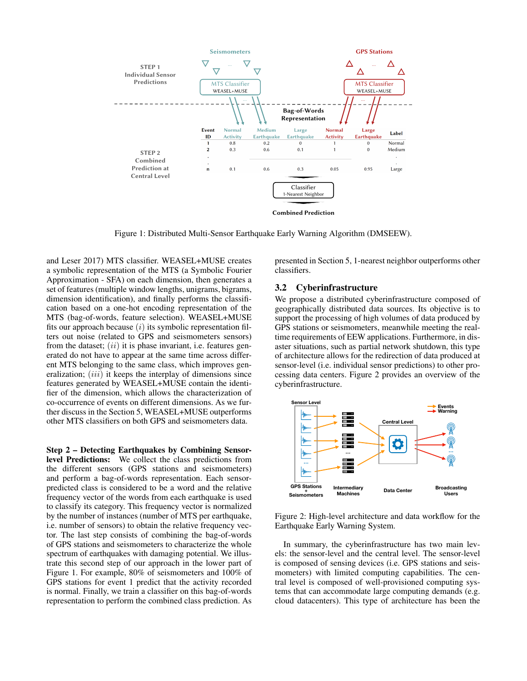

Figure 1: Distributed Multi-Sensor Earthquake Early Warning Algorithm (DMSEEW).

and Leser 2017) MTS classifier. WEASEL+MUSE creates a symbolic representation of the MTS (a Symbolic Fourier Approximation - SFA) on each dimension, then generates a set of features (multiple window lengths, unigrams, bigrams, dimension identification), and finally performs the classification based on a one-hot encoding representation of the MTS (bag-of-words, feature selection). WEASEL+MUSE fits our approach because  $(i)$  its symbolic representation filters out noise (related to GPS and seismometers sensors) from the dataset;  $(ii)$  it is phase invariant, i.e. features generated do not have to appear at the same time across different MTS belonging to the same class, which improves generalization;  $(iii)$  it keeps the interplay of dimensions since features generated by WEASEL+MUSE contain the identifier of the dimension, which allows the characterization of co-occurrence of events on different dimensions. As we further discuss in the Section 5, WEASEL+MUSE outperforms other MTS classifiers on both GPS and seismometers data.

Step 2 – Detecting Earthquakes by Combining Sensorlevel Predictions: We collect the class predictions from the different sensors (GPS stations and seismometers) and perform a bag-of-words representation. Each sensorpredicted class is considered to be a word and the relative frequency vector of the words from each earthquake is used to classify its category. This frequency vector is normalized by the number of instances (number of MTS per earthquake, i.e. number of sensors) to obtain the relative frequency vector. The last step consists of combining the bag-of-words of GPS stations and seismometers to characterize the whole spectrum of earthquakes with damaging potential. We illustrate this second step of our approach in the lower part of Figure 1. For example, 80% of seismometers and 100% of GPS stations for event 1 predict that the activity recorded is normal. Finally, we train a classifier on this bag-of-words representation to perform the combined class prediction. As

presented in Section 5, 1-nearest neighbor outperforms other classifiers.

#### 3.2 Cyberinfrastructure

We propose a distributed cyberinfrastructure composed of geographically distributed data sources. Its objective is to support the processing of high volumes of data produced by GPS stations or seismometers, meanwhile meeting the realtime requirements of EEW applications. Furthermore, in disaster situations, such as partial network shutdown, this type of architecture allows for the redirection of data produced at sensor-level (i.e. individual sensor predictions) to other processing data centers. Figure 2 provides an overview of the cyberinfrastructure.



Figure 2: High-level architecture and data workflow for the Earthquake Early Warning System.

In summary, the cyberinfrastructure has two main levels: the sensor-level and the central level. The sensor-level is composed of sensing devices (i.e. GPS stations and seismometers) with limited computing capabilities. The central level is composed of well-provisioned computing systems that can accommodate large computing demands (e.g. cloud datacenters). This type of architecture has been the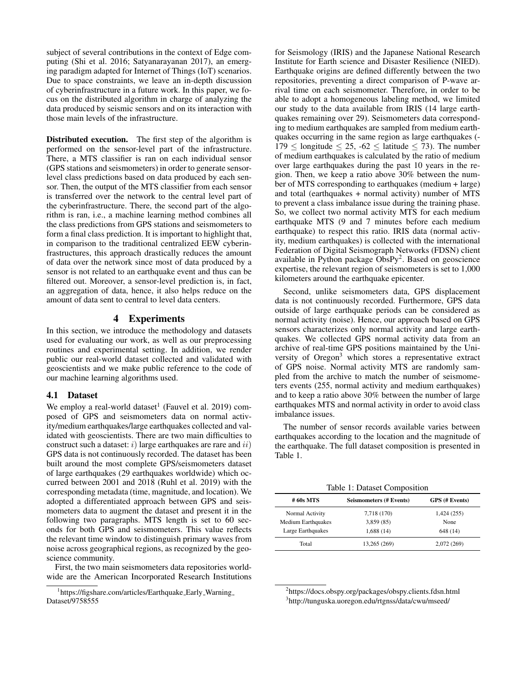subject of several contributions in the context of Edge computing (Shi et al. 2016; Satyanarayanan 2017), an emerging paradigm adapted for Internet of Things (IoT) scenarios. Due to space constraints, we leave an in-depth discussion of cyberinfrastructure in a future work. In this paper, we focus on the distributed algorithm in charge of analyzing the data produced by seismic sensors and on its interaction with those main levels of the infrastructure.

Distributed execution. The first step of the algorithm is performed on the sensor-level part of the infrastructure. There, a MTS classifier is ran on each individual sensor (GPS stations and seismometers) in order to generate sensorlevel class predictions based on data produced by each sensor. Then, the output of the MTS classifier from each sensor is transferred over the network to the central level part of the cyberinfrastructure. There, the second part of the algorithm is ran, i.e., a machine learning method combines all the class predictions from GPS stations and seismometers to form a final class prediction. It is important to highlight that, in comparison to the traditional centralized EEW cyberinfrastructures, this approach drastically reduces the amount of data over the network since most of data produced by a sensor is not related to an earthquake event and thus can be filtered out. Moreover, a sensor-level prediction is, in fact, an aggregation of data, hence, it also helps reduce on the amount of data sent to central to level data centers.

# 4 Experiments

In this section, we introduce the methodology and datasets used for evaluating our work, as well as our preprocessing routines and experimental setting. In addition, we render public our real-world dataset collected and validated with geoscientists and we make public reference to the code of our machine learning algorithms used.

#### 4.1 Dataset

We employ a real-world dataset<sup>1</sup> (Fauvel et al. 2019) composed of GPS and seismometers data on normal activity/medium earthquakes/large earthquakes collected and validated with geoscientists. There are two main difficulties to construct such a dataset:  $i)$  large earthquakes are rare and  $ii)$ GPS data is not continuously recorded. The dataset has been built around the most complete GPS/seismometers dataset of large earthquakes (29 earthquakes worldwide) which occurred between 2001 and 2018 (Ruhl et al. 2019) with the corresponding metadata (time, magnitude, and location). We adopted a differentiated approach between GPS and seismometers data to augment the dataset and present it in the following two paragraphs. MTS length is set to 60 seconds for both GPS and seismometers. This value reflects the relevant time window to distinguish primary waves from noise across geographical regions, as recognized by the geoscience community.

First, the two main seismometers data repositories worldwide are the American Incorporated Research Institutions

for Seismology (IRIS) and the Japanese National Research Institute for Earth science and Disaster Resilience (NIED). Earthquake origins are defined differently between the two repositories, preventing a direct comparison of P-wave arrival time on each seismometer. Therefore, in order to be able to adopt a homogeneous labeling method, we limited our study to the data available from IRIS (14 large earthquakes remaining over 29). Seismometers data corresponding to medium earthquakes are sampled from medium earthquakes occurring in the same region as large earthquakes (-  $179 \leq$  longitude  $\leq 25$ ,  $-62 \leq$  latitude  $\leq 73$ ). The number of medium earthquakes is calculated by the ratio of medium over large earthquakes during the past 10 years in the region. Then, we keep a ratio above 30% between the number of MTS corresponding to earthquakes (medium + large) and total (earthquakes + normal activity) number of MTS to prevent a class imbalance issue during the training phase. So, we collect two normal activity MTS for each medium earthquake MTS (9 and 7 minutes before each medium earthquake) to respect this ratio. IRIS data (normal activity, medium earthquakes) is collected with the international Federation of Digital Seismograph Networks (FDSN) client available in Python package ObsPy<sup>2</sup>. Based on geoscience expertise, the relevant region of seismometers is set to 1,000 kilometers around the earthquake epicenter.

Second, unlike seismometers data, GPS displacement data is not continuously recorded. Furthermore, GPS data outside of large earthquake periods can be considered as normal activity (noise). Hence, our approach based on GPS sensors characterizes only normal activity and large earthquakes. We collected GPS normal activity data from an archive of real-time GPS positions maintained by the University of Oregon<sup>3</sup> which stores a representative extract of GPS noise. Normal activity MTS are randomly sampled from the archive to match the number of seismometers events (255, normal activity and medium earthquakes) and to keep a ratio above 30% between the number of large earthquakes MTS and normal activity in order to avoid class imbalance issues.

The number of sensor records available varies between earthquakes according to the location and the magnitude of the earthquake. The full dataset composition is presented in Table 1.

Table 1: Dataset Composition

| # 60s MTS                 | <b>Seismometers (# Events)</b> | <b>GPS</b> (# Events) |
|---------------------------|--------------------------------|-----------------------|
| Normal Activity           | 7,718 (170)                    | 1,424 (255)           |
| <b>Medium Earthquakes</b> | 3,859(85)                      | None                  |
| Large Earthquakes         | 1,688(14)                      | 648 (14)              |
| Total                     | 13,265 (269)                   | 2,072 (269)           |

2 https://docs.obspy.org/packages/obspy.clients.fdsn.html 3 http://tunguska.uoregon.edu/rtgnss/data/cwu/mseed/

<sup>&</sup>lt;sup>1</sup>https://figshare.com/articles/Earthquake\_Early\_Warning Dataset/9758555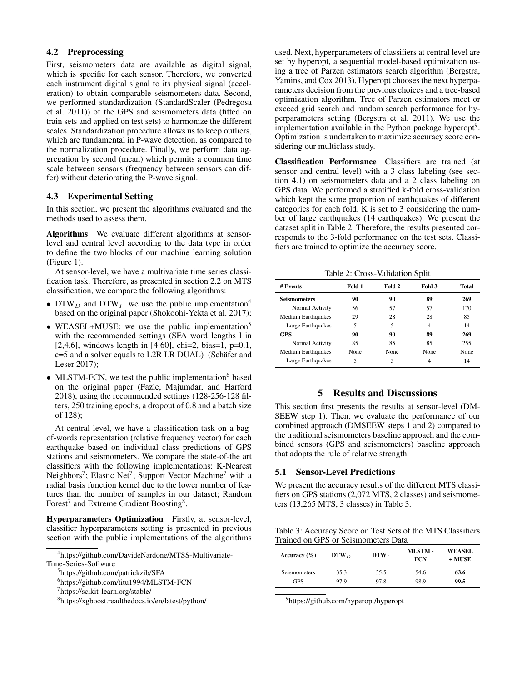# 4.2 Preprocessing

First, seismometers data are available as digital signal, which is specific for each sensor. Therefore, we converted each instrument digital signal to its physical signal (acceleration) to obtain comparable seismometers data. Second, we performed standardization (StandardScaler (Pedregosa et al. 2011)) of the GPS and seismometers data (fitted on train sets and applied on test sets) to harmonize the different scales. Standardization procedure allows us to keep outliers, which are fundamental in P-wave detection, as compared to the normalization procedure. Finally, we perform data aggregation by second (mean) which permits a common time scale between sensors (frequency between sensors can differ) without deteriorating the P-wave signal.

# 4.3 Experimental Setting

In this section, we present the algorithms evaluated and the methods used to assess them.

Algorithms We evaluate different algorithms at sensorlevel and central level according to the data type in order to define the two blocks of our machine learning solution (Figure 1).

At sensor-level, we have a multivariate time series classification task. Therefore, as presented in section 2.2 on MTS classification, we compare the following algorithms:

- DTW<sub>D</sub> and DTW<sub>I</sub>: we use the public implementation<sup>4</sup> based on the original paper (Shokoohi-Yekta et al. 2017);
- WEASEL+MUSE: we use the public implementation<sup>5</sup> with the recommended settings (SFA word lengths l in [2,4,6], windows length in [4:60], chi=2, bias=1, p=0.1,  $c=5$  and a solver equals to L2R LR DUAL) (Schäfer and Leser 2017);
- MLSTM-FCN, we test the public implementation $<sup>6</sup>$  based</sup> on the original paper (Fazle, Majumdar, and Harford 2018), using the recommended settings (128-256-128 filters, 250 training epochs, a dropout of 0.8 and a batch size of 128);

At central level, we have a classification task on a bagof-words representation (relative frequency vector) for each earthquake based on individual class predictions of GPS stations and seismometers. We compare the state-of-the art classifiers with the following implementations: K-Nearest Neighbors<sup>7</sup>; Elastic Net<sup>7</sup>; Support Vector Machine<sup>7</sup> with a radial basis function kernel due to the lower number of features than the number of samples in our dataset; Random Forest<sup>7</sup> and Extreme Gradient Boosting<sup>8</sup>.

Hyperparameters Optimization Firstly, at sensor-level, classifier hyperparameters setting is presented in previous section with the public implementations of the algorithms

4 https://github.com/DavideNardone/MTSS-Multivariate-

used. Next, hyperparameters of classifiers at central level are set by hyperopt, a sequential model-based optimization using a tree of Parzen estimators search algorithm (Bergstra, Yamins, and Cox 2013). Hyperopt chooses the next hyperparameters decision from the previous choices and a tree-based optimization algorithm. Tree of Parzen estimators meet or exceed grid search and random search performance for hyperparameters setting (Bergstra et al. 2011). We use the implementation available in the Python package hyperopt $9$ . Optimization is undertaken to maximize accuracy score considering our multiclass study.

Classification Performance Classifiers are trained (at sensor and central level) with a 3 class labeling (see section 4.1) on seismometers data and a 2 class labeling on GPS data. We performed a stratified k-fold cross-validation which kept the same proportion of earthquakes of different categories for each fold. K is set to 3 considering the number of large earthquakes (14 earthquakes). We present the dataset split in Table 2. Therefore, the results presented corresponds to the 3-fold performance on the test sets. Classifiers are trained to optimize the accuracy score.

Table 2: Cross-Validation Split

| # Events                  | Fold 1 | Fold 2      | Fold 3         | Total |  |
|---------------------------|--------|-------------|----------------|-------|--|
| <b>Seismometers</b>       | 90     | 90          | 89             | 269   |  |
| Normal Activity           | 56     | 57          | 57             | 170   |  |
| <b>Medium Earthquakes</b> | 29     | 28          | 28             | 85    |  |
| Large Earthquakes         | 5      | 5           | $\overline{4}$ | 14    |  |
| GPS                       | 90     | 90          | 89             | 269   |  |
| Normal Activity           | 85     | 85          | 85             | 255   |  |
| <b>Medium Earthquakes</b> | None.  | <b>None</b> | None           | None  |  |
| Large Earthquakes         | 5      | 5           | 4              | 14    |  |

# 5 Results and Discussions

This section first presents the results at sensor-level (DM-SEEW step 1). Then, we evaluate the performance of our combined approach (DMSEEW steps 1 and 2) compared to the traditional seismometers baseline approach and the combined sensors (GPS and seismometers) baseline approach that adopts the rule of relative strength.

# 5.1 Sensor-Level Predictions

We present the accuracy results of the different MTS classifiers on GPS stations (2,072 MTS, 2 classes) and seismometers (13,265 MTS, 3 classes) in Table 3.

Table 3: Accuracy Score on Test Sets of the MTS Classifiers Trained on GPS or Seismometers Data

| Accuracy $(\% )$ | $\bf{DTW}_D$ | $\mathbf{DTW}_{I}$ | MLSTM-<br><b>FCN</b> | <b>WEASEL</b><br>+ MUSE |
|------------------|--------------|--------------------|----------------------|-------------------------|
| Seismometers     | 35.3         | 35.5               | 54.6                 | 63.6                    |
| <b>GPS</b>       | 97.9         | 97.8               | 98.9                 | 99.5                    |

9 https://github.com/hyperopt/hyperopt

Time-Series-Software

<sup>5</sup> https://github.com/patrickzib/SFA

<sup>6</sup> https://github.com/titu1994/MLSTM-FCN

<sup>7</sup> https://scikit-learn.org/stable/

<sup>8</sup> https://xgboost.readthedocs.io/en/latest/python/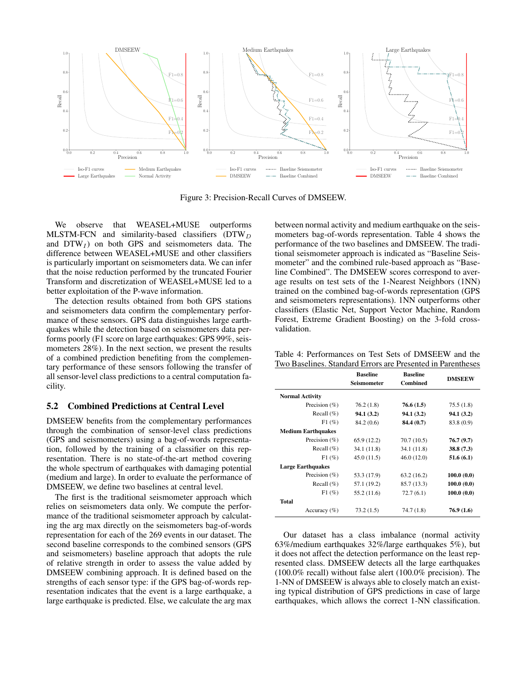

Figure 3: Precision-Recall Curves of DMSEEW.

We observe that WEASEL+MUSE outperforms MLSTM-FCN and similarity-based classifiers  $(DTW_D)$ and  $DTW_I$ ) on both GPS and seismometers data. The difference between WEASEL+MUSE and other classifiers is particularly important on seismometers data. We can infer that the noise reduction performed by the truncated Fourier Transform and discretization of WEASEL+MUSE led to a better exploitation of the P-wave information.

The detection results obtained from both GPS stations and seismometers data confirm the complementary performance of these sensors. GPS data distinguishes large earthquakes while the detection based on seismometers data performs poorly (F1 score on large earthquakes: GPS 99%, seismometers 28%). In the next section, we present the results of a combined prediction benefiting from the complementary performance of these sensors following the transfer of all sensor-level class predictions to a central computation facility.

# 5.2 Combined Predictions at Central Level

DMSEEW benefits from the complementary performances through the combination of sensor-level class predictions (GPS and seismometers) using a bag-of-words representation, followed by the training of a classifier on this representation. There is no state-of-the-art method covering the whole spectrum of earthquakes with damaging potential (medium and large). In order to evaluate the performance of DMSEEW, we define two baselines at central level.

The first is the traditional seismometer approach which relies on seismometers data only. We compute the performance of the traditional seismometer approach by calculating the arg max directly on the seismometers bag-of-words representation for each of the 269 events in our dataset. The second baseline corresponds to the combined sensors (GPS and seismometers) baseline approach that adopts the rule of relative strength in order to assess the value added by DMSEEW combining approach. It is defined based on the strengths of each sensor type: if the GPS bag-of-words representation indicates that the event is a large earthquake, a large earthquake is predicted. Else, we calculate the arg max

between normal activity and medium earthquake on the seismometers bag-of-words representation. Table 4 shows the performance of the two baselines and DMSEEW. The traditional seismometer approach is indicated as "Baseline Seismometer" and the combined rule-based approach as "Baseline Combined". The DMSEEW scores correspond to average results on test sets of the 1-Nearest Neighbors (1NN) trained on the combined bag-of-words representation (GPS and seismometers representations). 1NN outperforms other classifiers (Elastic Net, Support Vector Machine, Random Forest, Extreme Gradient Boosting) on the 3-fold crossvalidation.

Table 4: Performances on Test Sets of DMSEEW and the Two Baselines. Standard Errors are Presented in Parentheses

|                           | <b>Baseline</b> | <b>Baseline</b> | <b>DMSEEW</b> |  |
|---------------------------|-----------------|-----------------|---------------|--|
|                           | Seismometer     | Combined        |               |  |
| <b>Normal Activity</b>    |                 |                 |               |  |
| Precision $(\%)$          | 76.2(1.8)       | 76.6(1.5)       | 75.5 (1.8)    |  |
| Recall $(\%)$             | 94.1(3.2)       | 94.1(3.2)       | 94.1 (3.2)    |  |
| $F1(\%)$                  | 84.2 (0.6)      | 84.4 (0.7)      | 83.8 (0.9)    |  |
| <b>Medium Earthquakes</b> |                 |                 |               |  |
| Precision $(\%)$          | 65.9 (12.2)     | 70.7 (10.5)     | 76.7(9.7)     |  |
| Recall $(\%)$             | 34.1 (11.8)     | 34.1 (11.8)     | 38.8(7.3)     |  |
| $F1(\%)$                  | 45.0 (11.5)     | 46.0(12.0)      | 51.6(6.1)     |  |
| <b>Large Earthquakes</b>  |                 |                 |               |  |
| Precision $(\%)$          | 53.3 (17.9)     | 63.2(16.2)      | 100.0(0.0)    |  |
| Recall $(\%)$             | 57.1 (19.2)     | 85.7 (13.3)     | 100.0(0.0)    |  |
| $F1(\%)$                  | 55.2 (11.6)     | 72.7(6.1)       | 100.0(0.0)    |  |
| <b>Total</b>              |                 |                 |               |  |
| Accuracy $(\%)$           | 73.2(1.5)       | 74.7 (1.8)      | 76.9 (1.6)    |  |

Our dataset has a class imbalance (normal activity 63%/medium earthquakes 32%/large earthquakes 5%), but it does not affect the detection performance on the least represented class. DMSEEW detects all the large earthquakes (100.0% recall) without false alert (100.0% precision). The 1-NN of DMSEEW is always able to closely match an existing typical distribution of GPS predictions in case of large earthquakes, which allows the correct 1-NN classification.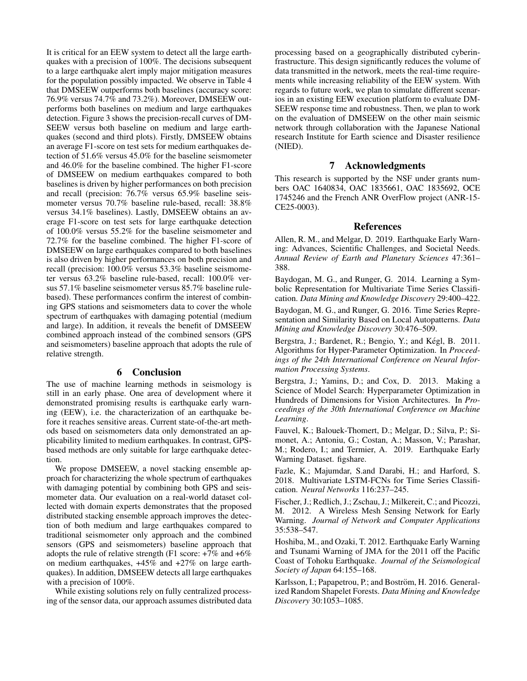It is critical for an EEW system to detect all the large earthquakes with a precision of 100%. The decisions subsequent to a large earthquake alert imply major mitigation measures for the population possibly impacted. We observe in Table 4 that DMSEEW outperforms both baselines (accuracy score: 76.9% versus 74.7% and 73.2%). Moreover, DMSEEW outperforms both baselines on medium and large earthquakes detection. Figure 3 shows the precision-recall curves of DM-SEEW versus both baseline on medium and large earthquakes (second and third plots). Firstly, DMSEEW obtains an average F1-score on test sets for medium earthquakes detection of 51.6% versus 45.0% for the baseline seismometer and 46.0% for the baseline combined. The higher F1-score of DMSEEW on medium earthquakes compared to both baselines is driven by higher performances on both precision and recall (precision: 76.7% versus 65.9% baseline seismometer versus 70.7% baseline rule-based, recall: 38.8% versus 34.1% baselines). Lastly, DMSEEW obtains an average F1-score on test sets for large earthquake detection of 100.0% versus 55.2% for the baseline seismometer and 72.7% for the baseline combined. The higher F1-score of DMSEEW on large earthquakes compared to both baselines is also driven by higher performances on both precision and recall (precision: 100.0% versus 53.3% baseline seismometer versus 63.2% baseline rule-based, recall: 100.0% versus 57.1% baseline seismometer versus 85.7% baseline rulebased). These performances confirm the interest of combining GPS stations and seismometers data to cover the whole spectrum of earthquakes with damaging potential (medium and large). In addition, it reveals the benefit of DMSEEW combined approach instead of the combined sensors (GPS and seismometers) baseline approach that adopts the rule of relative strength.

#### 6 Conclusion

The use of machine learning methods in seismology is still in an early phase. One area of development where it demonstrated promising results is earthquake early warning (EEW), i.e. the characterization of an earthquake before it reaches sensitive areas. Current state-of-the-art methods based on seismometers data only demonstrated an applicability limited to medium earthquakes. In contrast, GPSbased methods are only suitable for large earthquake detection.

We propose DMSEEW, a novel stacking ensemble approach for characterizing the whole spectrum of earthquakes with damaging potential by combining both GPS and seismometer data. Our evaluation on a real-world dataset collected with domain experts demonstrates that the proposed distributed stacking ensemble approach improves the detection of both medium and large earthquakes compared to traditional seismometer only approach and the combined sensors (GPS and seismometers) baseline approach that adopts the rule of relative strength (F1 score:  $+7\%$  and  $+6\%$ ) on medium earthquakes, +45% and +27% on large earthquakes). In addition, DMSEEW detects all large earthquakes with a precision of 100%.

While existing solutions rely on fully centralized processing of the sensor data, our approach assumes distributed data processing based on a geographically distributed cyberinfrastructure. This design significantly reduces the volume of data transmitted in the network, meets the real-time requirements while increasing reliability of the EEW system. With regards to future work, we plan to simulate different scenarios in an existing EEW execution platform to evaluate DM-SEEW response time and robustness. Then, we plan to work on the evaluation of DMSEEW on the other main seismic network through collaboration with the Japanese National research Institute for Earth science and Disaster resilience (NIED).

#### 7 Acknowledgments

This research is supported by the NSF under grants numbers OAC 1640834, OAC 1835661, OAC 1835692, OCE 1745246 and the French ANR OverFlow project (ANR-15- CE25-0003).

#### References

Allen, R. M., and Melgar, D. 2019. Earthquake Early Warning: Advances, Scientific Challenges, and Societal Needs. *Annual Review of Earth and Planetary Sciences* 47:361– 388.

Baydogan, M. G., and Runger, G. 2014. Learning a Symbolic Representation for Multivariate Time Series Classification. *Data Mining and Knowledge Discovery* 29:400–422.

Baydogan, M. G., and Runger, G. 2016. Time Series Representation and Similarity Based on Local Autopatterns. *Data Mining and Knowledge Discovery* 30:476–509.

Bergstra, J.; Bardenet, R.; Bengio, Y.; and Kégl, B. 2011. Algorithms for Hyper-Parameter Optimization. In *Proceedings of the 24th International Conference on Neural Information Processing Systems*.

Bergstra, J.; Yamins, D.; and Cox, D. 2013. Making a Science of Model Search: Hyperparameter Optimization in Hundreds of Dimensions for Vision Architectures. In *Proceedings of the 30th International Conference on Machine Learning*.

Fauvel, K.; Balouek-Thomert, D.; Melgar, D.; Silva, P.; Simonet, A.; Antoniu, G.; Costan, A.; Masson, V.; Parashar, M.; Rodero, I.; and Termier, A. 2019. Earthquake Early Warning Dataset. figshare.

Fazle, K.; Majumdar, S.and Darabi, H.; and Harford, S. 2018. Multivariate LSTM-FCNs for Time Series Classification. *Neural Networks* 116:237–245.

Fischer, J.; Redlich, J.; Zschau, J.; Milkereit, C.; and Picozzi, M. 2012. A Wireless Mesh Sensing Network for Early Warning. *Journal of Network and Computer Applications* 35:538–547.

Hoshiba, M., and Ozaki, T. 2012. Earthquake Early Warning and Tsunami Warning of JMA for the 2011 off the Pacific Coast of Tohoku Earthquake. *Journal of the Seismological Society of Japan* 64:155–168.

Karlsson, I.; Papapetrou, P.; and Boström, H. 2016. Generalized Random Shapelet Forests. *Data Mining and Knowledge Discovery* 30:1053–1085.